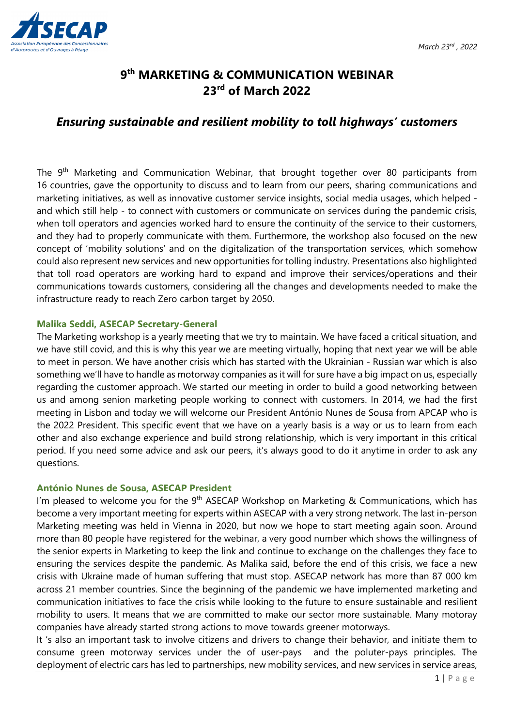

# **9th MARKETING & COMMUNICATION WEBINAR 23rd of March 2022**

## *Ensuring sustainable and resilient mobility to toll highways' customers*

The 9<sup>th</sup> Marketing and Communication Webinar, that brought together over 80 participants from 16 countries, gave the opportunity to discuss and to learn from our peers, sharing communications and marketing initiatives, as well as innovative customer service insights, social media usages, which helped and which still help - to connect with customers or communicate on services during the pandemic crisis, when toll operators and agencies worked hard to ensure the continuity of the service to their customers, and they had to properly communicate with them. Furthermore, the workshop also focused on the new concept of 'mobility solutions' and on the digitalization of the transportation services, which somehow could also represent new services and new opportunities for tolling industry. Presentations also highlighted that toll road operators are working hard to expand and improve their services/operations and their communications towards customers, considering all the changes and developments needed to make the infrastructure ready to reach Zero carbon target by 2050.

#### **Malika Seddi, ASECAP Secretary-General**

The Marketing workshop is a yearly meeting that we try to maintain. We have faced a critical situation, and we have still covid, and this is why this year we are meeting virtually, hoping that next year we will be able to meet in person. We have another crisis which has started with the Ukrainian - Russian war which is also something we'll have to handle as motorway companies as it will for sure have a big impact on us, especially regarding the customer approach. We started our meeting in order to build a good networking between us and among senion marketing people working to connect with customers. In 2014, we had the first meeting in Lisbon and today we will welcome our President António Nunes de Sousa from APCAP who is the 2022 President. This specific event that we have on a yearly basis is a way or us to learn from each other and also exchange experience and build strong relationship, which is very important in this critical period. If you need some advice and ask our peers, it's always good to do it anytime in order to ask any questions.

## **António Nunes de Sousa, ASECAP President**

I'm pleased to welcome you for the 9<sup>th</sup> ASECAP Workshop on Marketing & Communications, which has become a very important meeting for experts within ASECAP with a very strong network. The last in-person Marketing meeting was held in Vienna in 2020, but now we hope to start meeting again soon. Around more than 80 people have registered for the webinar, a very good number which shows the willingness of the senior experts in Marketing to keep the link and continue to exchange on the challenges they face to ensuring the services despite the pandemic. As Malika said, before the end of this crisis, we face a new crisis with Ukraine made of human suffering that must stop. ASECAP network has more than 87 000 km across 21 member countries. Since the beginning of the pandemic we have implemented marketing and communication initiatives to face the crisis while looking to the future to ensure sustainable and resilient mobility to users. It means that we are committed to make our sector more sustainable. Many motoray companies have already started strong actions to move towards greener motorways.

It 's also an important task to involve citizens and drivers to change their behavior, and initiate them to consume green motorway services under the of user-pays and the poluter-pays principles. The deployment of electric cars has led to partnerships, new mobility services, and new services in service areas,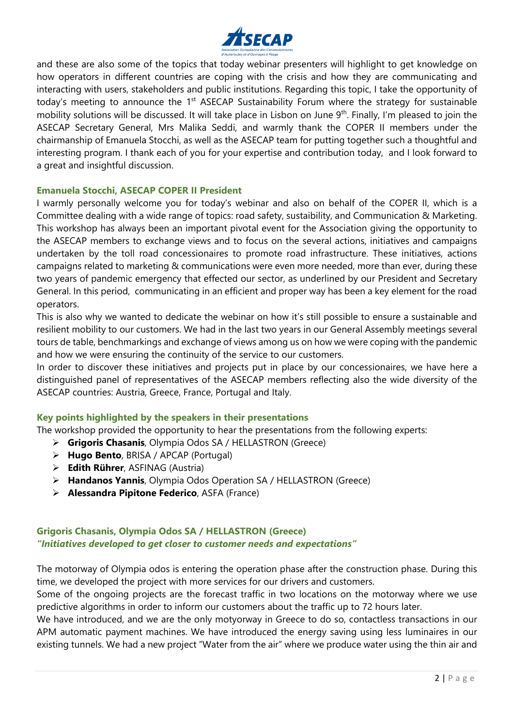

and these are also some of the topics that today webinar presenters will highlight to get knowledge on how operators in different countries are coping with the crisis and how they are communicating and interacting with users, stakeholders and public institutions. Regarding this topic, I take the opportunity of today's meeting to announce the 1<sup>st</sup> ASECAP Sustainability Forum where the strategy for sustainable mobility solutions will be discussed. It will take place in Lisbon on June 9<sup>th</sup>. Finally, I'm pleased to join the ASECAP Secretary General, Mrs Malika Seddi, and warmly thank the COPER II members under the chairmanship of Emanuela Stocchi, as well as the ASECAP team for putting together such a thoughtful and interesting program. I thank each of you for your expertise and contribution today, and I look forward to a great and insightful discussion.

#### **Emanuela Stocchi, ASECAP COPER II President**

I warmly personally welcome you for today's webinar and also on behalf of the COPER II, which is a Committee dealing with a wide range of topics: road safety, sustaibility, and Communication & Marketing. This workshop has always been an important pivotal event for the Association giving the opportunity to the ASECAP members to exchange views and to focus on the several actions, initiatives and campaigns undertaken by the toll road concessionaires to promote road infrastructure. These initiatives, actions campaigns related to marketing & communications were even more needed, more than ever, during these two years of pandemic emergency that effected our sector, as underlined by our President and Secretary General. In this period, communicating in an efficient and proper way has been a key element for the road operators.

This is also why we wanted to dedicate the webinar on how it's still possible to ensure a sustainable and resilient mobility to our customers. We had in the last two years in our General Assembly meetings several tours de table, benchmarkings and exchange of views among us on how we were coping with the pandemic and how we were ensuring the continuity of the service to our customers.

In order to discover these initiatives and projects put in place by our concessionaires, we have here a distinguished panel of representatives of the ASECAP members reflecting also the wide diversity of the ASECAP countries: Austria, Greece, France, Portugal and Italy.

#### **Key points highlighted by the speakers in their presentations**

The workshop provided the opportunity to hear the presentations from the following experts:

- **Grigoris Chasanis**, Olympia Odos SA / HELLASTRON (Greece)
- **Hugo Bento**, BRISA / APCAP (Portugal)
- **Edith Rührer**, ASFINAG (Austria)
- **Handanos Yannis**, Olympia Odos Operation SA / HELLASTRON (Greece)
- **Alessandra Pipitone Federico**, ASFA (France)

## **Grigoris Chasanis, Olympia Odos SA / HELLASTRON (Greece)** *"Initiatives developed to get closer to customer needs and expectations"*

The motorway of Olympia odos is entering the operation phase after the construction phase. During this time, we developed the project with more services for our drivers and customers.

Some of the ongoing projects are the forecast traffic in two locations on the motorway where we use predictive algorithms in order to inform our customers about the traffic up to 72 hours later.

We have introduced, and we are the only motyorway in Greece to do so, contactless transactions in our APM automatic payment machines. We have introduced the energy saving using less luminaires in our existing tunnels. We had a new project "Water from the air" where we produce water using the thin air and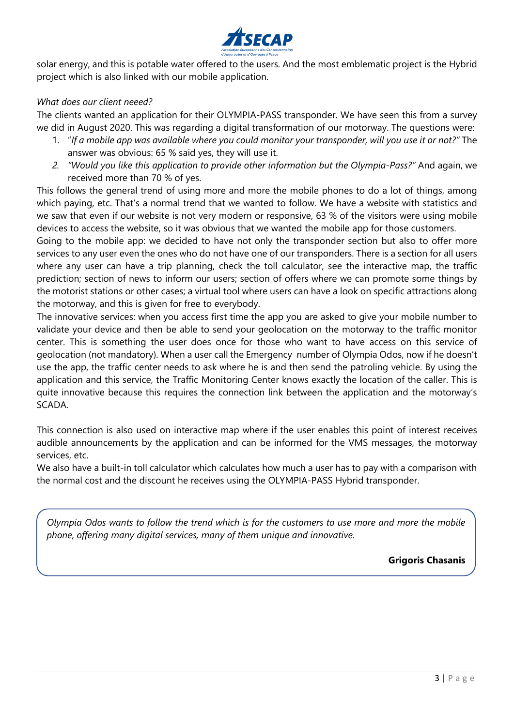

solar energy, and this is potable water offered to the users. And the most emblematic project is the Hybrid project which is also linked with our mobile application.

#### *What does our client neeed?*

The clients wanted an application for their OLYMPIA-PASS transponder. We have seen this from a survey we did in August 2020. This was regarding a digital transformation of our motorway. The questions were:

- 1. "*If a mobile app was available where you could monitor your transponder, will you use it or not?"* The answer was obvious: 65 % said yes, they will use it.
- *2. "Would you like this application to provide other information but the Olympia-Pass?"* And again, we received more than 70 % of yes.

This follows the general trend of using more and more the mobile phones to do a lot of things, among which paying, etc. That's a normal trend that we wanted to follow. We have a website with statistics and we saw that even if our website is not very modern or responsive, 63 % of the visitors were using mobile devices to access the website, so it was obvious that we wanted the mobile app for those customers.

Going to the mobile app: we decided to have not only the transponder section but also to offer more services to any user even the ones who do not have one of our transponders. There is a section for all users where any user can have a trip planning, check the toll calculator, see the interactive map, the traffic prediction; section of news to inform our users; section of offers where we can promote some things by the motorist stations or other cases; a virtual tool where users can have a look on specific attractions along the motorway, and this is given for free to everybody.

The innovative services: when you access first time the app you are asked to give your mobile number to validate your device and then be able to send your geolocation on the motorway to the traffic monitor center. This is something the user does once for those who want to have access on this service of geolocation (not mandatory). When a user call the Emergency number of Olympia Odos, now if he doesn't use the app, the traffic center needs to ask where he is and then send the patroling vehicle. By using the application and this service, the Traffic Monitoring Center knows exactly the location of the caller. This is quite innovative because this requires the connection link between the application and the motorway's SCADA.

This connection is also used on interactive map where if the user enables this point of interest receives audible announcements by the application and can be informed for the VMS messages, the motorway services, etc.

We also have a built-in toll calculator which calculates how much a user has to pay with a comparison with the normal cost and the discount he receives using the OLYMPIA-PASS Hybrid transponder.

*Olympia Odos wants to follow the trend which is for the customers to use more and more the mobile phone, offering many digital services, many of them unique and innovative.*

**Grigoris Chasanis**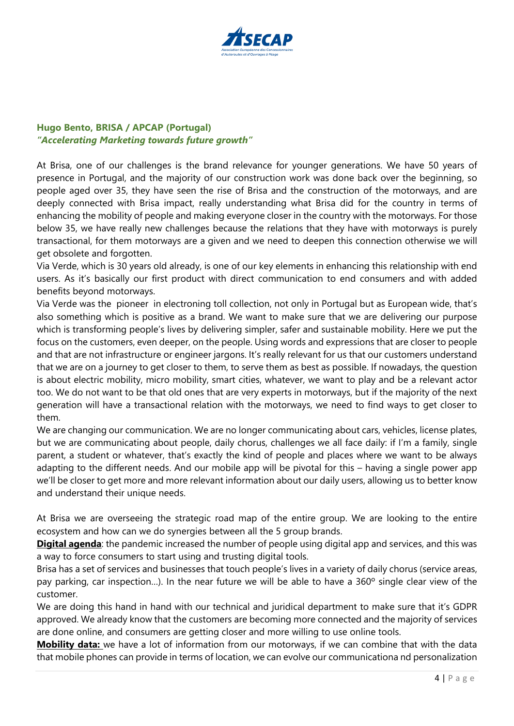

## **Hugo Bento, BRISA / APCAP (Portugal)** *"Accelerating Marketing towards future growth"*

At Brisa, one of our challenges is the brand relevance for younger generations. We have 50 years of presence in Portugal, and the majority of our construction work was done back over the beginning, so people aged over 35, they have seen the rise of Brisa and the construction of the motorways, and are deeply connected with Brisa impact, really understanding what Brisa did for the country in terms of enhancing the mobility of people and making everyone closer in the country with the motorways. For those below 35, we have really new challenges because the relations that they have with motorways is purely transactional, for them motorways are a given and we need to deepen this connection otherwise we will get obsolete and forgotten.

Via Verde, which is 30 years old already, is one of our key elements in enhancing this relationship with end users. As it's basically our first product with direct communication to end consumers and with added benefits beyond motorways.

Via Verde was the pioneer in electroning toll collection, not only in Portugal but as European wide, that's also something which is positive as a brand. We want to make sure that we are delivering our purpose which is transforming people's lives by delivering simpler, safer and sustainable mobility. Here we put the focus on the customers, even deeper, on the people. Using words and expressions that are closer to people and that are not infrastructure or engineer jargons. It's really relevant for us that our customers understand that we are on a journey to get closer to them, to serve them as best as possible. If nowadays, the question is about electric mobility, micro mobility, smart cities, whatever, we want to play and be a relevant actor too. We do not want to be that old ones that are very experts in motorways, but if the majority of the next generation will have a transactional relation with the motorways, we need to find ways to get closer to them.

We are changing our communication. We are no longer communicating about cars, vehicles, license plates, but we are communicating about people, daily chorus, challenges we all face daily: if I'm a family, single parent, a student or whatever, that's exactly the kind of people and places where we want to be always adapting to the different needs. And our mobile app will be pivotal for this – having a single power app we'll be closer to get more and more relevant information about our daily users, allowing us to better know and understand their unique needs.

At Brisa we are overseeing the strategic road map of the entire group. We are looking to the entire ecosystem and how can we do synergies between all the 5 group brands.

**Digital agenda**: the pandemic increased the number of people using digital app and services, and this was a way to force consumers to start using and trusting digital tools.

Brisa has a set of services and businesses that touch people's lives in a variety of daily chorus (service areas, pay parking, car inspection…). In the near future we will be able to have a 360º single clear view of the customer.

We are doing this hand in hand with our technical and juridical department to make sure that it's GDPR approved. We already know that the customers are becoming more connected and the majority of services are done online, and consumers are getting closer and more willing to use online tools.

**Mobility data:** we have a lot of information from our motorways, if we can combine that with the data that mobile phones can provide in terms of location, we can evolve our communicationa nd personalization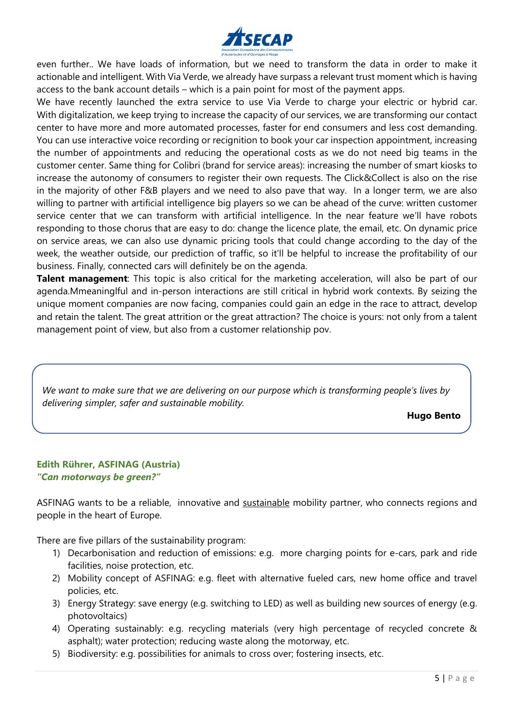

even further.. We have loads of information, but we need to transform the data in order to make it actionable and intelligent. With Via Verde, we already have surpass a relevant trust moment which is having access to the bank account details – which is a pain point for most of the payment apps.

We have recently launched the extra service to use Via Verde to charge your electric or hybrid car. With digitalization, we keep trying to increase the capacity of our services, we are transforming our contact center to have more and more automated processes, faster for end consumers and less cost demanding. You can use interactive voice recording or recignition to book your car inspection appointment, increasing the number of appointments and reducing the operational costs as we do not need big teams in the customer center. Same thing for Colibri (brand for service areas): increasing the number of smart kiosks to increase the autonomy of consumers to register their own requests. The Click&Collect is also on the rise in the majority of other F&B players and we need to also pave that way. In a longer term, we are also willing to partner with artificial intelligence big players so we can be ahead of the curve: written customer service center that we can transform with artificial intelligence. In the near feature we'll have robots responding to those chorus that are easy to do: change the licence plate, the email, etc. On dynamic price on service areas, we can also use dynamic pricing tools that could change according to the day of the week, the weather outside, our prediction of traffic, so it'll be helpful to increase the profitability of our business. Finally, connected cars will definitely be on the agenda.

**Talent management**: This topic is also critical for the marketing acceleration, will also be part of our agenda.Mmeaninglful and in-person interactions are still critical in hybrid work contexts. By seizing the unique moment companies are now facing, companies could gain an edge in the race to attract, develop and retain the talent. The great attrition or the great attraction? The choice is yours: not only from a talent management point of view, but also from a customer relationship pov.

*We want to make sure that we are delivering on our purpose which is transforming people's lives by delivering simpler, safer and sustainable mobility.*

**Hugo Bento** 

#### **Edith Rührer, ASFINAG (Austria)** *"Can motorways be green?"*

ASFINAG wants to be a reliable, innovative and sustainable mobility partner, who connects regions and people in the heart of Europe.

There are five pillars of the sustainability program:

- 1) Decarbonisation and reduction of emissions: e.g. more charging points for e-cars, park and ride facilities, noise protection, etc.
- 2) Mobility concept of ASFINAG: e.g. fleet with alternative fueled cars, new home office and travel policies, etc.
- 3) Energy Strategy: save energy (e.g. switching to LED) as well as building new sources of energy (e.g. photovoltaics)
- 4) Operating sustainably: e.g. recycling materials (very high percentage of recycled concrete & asphalt); water protection; reducing waste along the motorway, etc.
- 5) Biodiversity: e.g. possibilities for animals to cross over; fostering insects, etc.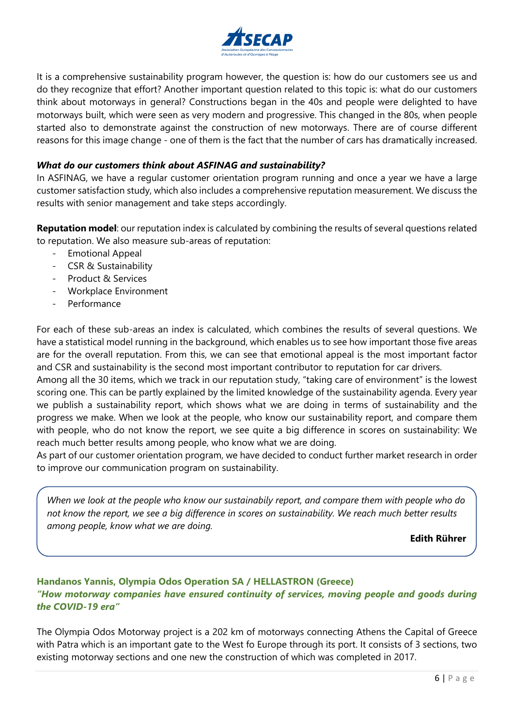

It is a comprehensive sustainability program however, the question is: how do our customers see us and do they recognize that effort? Another important question related to this topic is: what do our customers think about motorways in general? Constructions began in the 40s and people were delighted to have motorways built, which were seen as very modern and progressive. This changed in the 80s, when people started also to demonstrate against the construction of new motorways. There are of course different reasons for this image change - one of them is the fact that the number of cars has dramatically increased.

#### *What do our customers think about ASFINAG and sustainability?*

In ASFINAG, we have a regular customer orientation program running and once a year we have a large customer satisfaction study, which also includes a comprehensive reputation measurement. We discuss the results with senior management and take steps accordingly.

**Reputation model**: our reputation index is calculated by combining the results of several questions related to reputation. We also measure sub-areas of reputation:

- Emotional Appeal
- CSR & Sustainability
- Product & Services
- Workplace Environment
- Performance

For each of these sub-areas an index is calculated, which combines the results of several questions. We have a statistical model running in the background, which enables us to see how important those five areas are for the overall reputation. From this, we can see that emotional appeal is the most important factor and CSR and sustainability is the second most important contributor to reputation for car drivers.

Among all the 30 items, which we track in our reputation study, "taking care of environment" is the lowest scoring one. This can be partly explained by the limited knowledge of the sustainability agenda. Every year we publish a sustainability report, which shows what we are doing in terms of sustainability and the progress we make. When we look at the people, who know our sustainability report, and compare them with people, who do not know the report, we see quite a big difference in scores on sustainability: We reach much better results among people, who know what we are doing.

As part of our customer orientation program, we have decided to conduct further market research in order to improve our communication program on sustainability.

*When we look at the people who know our sustainabily report, and compare them with people who do not know the report, we see a big difference in scores on sustainability. We reach much better results among people, know what we are doing.*

**Edith Rührer**

## **Handanos Yannis, Olympia Odos Operation SA / HELLASTRON (Greece)** *"How motorway companies have ensured continuity of services, moving people and goods during the COVID-19 era"*

The Olympia Odos Motorway project is a 202 km of motorways connecting Athens the Capital of Greece with Patra which is an important gate to the West fo Europe through its port. It consists of 3 sections, two existing motorway sections and one new the construction of which was completed in 2017.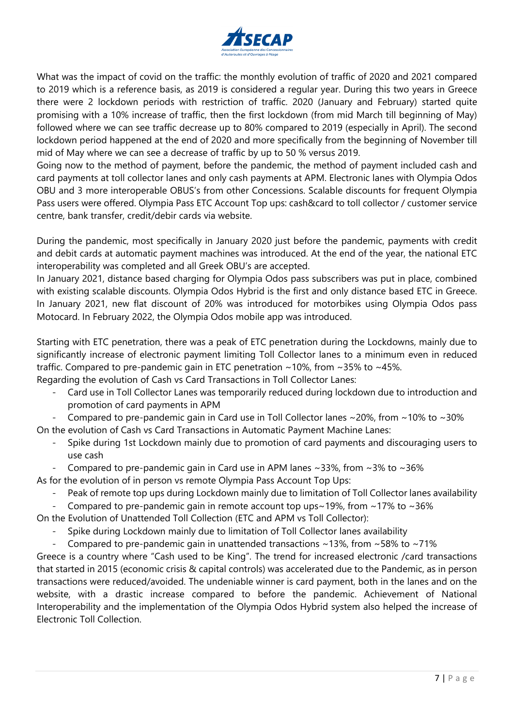

What was the impact of covid on the traffic: the monthly evolution of traffic of 2020 and 2021 compared to 2019 which is a reference basis, as 2019 is considered a regular year. During this two years in Greece there were 2 lockdown periods with restriction of traffic. 2020 (January and February) started quite promising with a 10% increase of traffic, then the first lockdown (from mid March till beginning of May) followed where we can see traffic decrease up to 80% compared to 2019 (especially in April). The second lockdown period happened at the end of 2020 and more specifically from the beginning of November till mid of May where we can see a decrease of traffic by up to 50 % versus 2019.

Going now to the method of payment, before the pandemic, the method of payment included cash and card payments at toll collector lanes and only cash payments at APM. Electronic lanes with Olympia Odos OBU and 3 more interoperable OBUS's from other Concessions. Scalable discounts for frequent Olympia Pass users were offered. Olympia Pass ETC Account Top ups: cash&card to toll collector / customer service centre, bank transfer, credit/debir cards via website.

During the pandemic, most specifically in January 2020 just before the pandemic, payments with credit and debit cards at automatic payment machines was introduced. At the end of the year, the national ETC interoperability was completed and all Greek OBU's are accepted.

In January 2021, distance based charging for Olympia Odos pass subscribers was put in place, combined with existing scalable discounts. Olympia Odos Hybrid is the first and only distance based ETC in Greece. In January 2021, new flat discount of 20% was introduced for motorbikes using Olympia Odos pass Motocard. In February 2022, the Olympia Odos mobile app was introduced.

Starting with ETC penetration, there was a peak of ETC penetration during the Lockdowns, mainly due to significantly increase of electronic payment limiting Toll Collector lanes to a minimum even in reduced traffic. Compared to pre-pandemic gain in ETC penetration ~10%, from ~35% to ~45%.

Regarding the evolution of Cash vs Card Transactions in Toll Collector Lanes:

- Card use in Toll Collector Lanes was temporarily reduced during lockdown due to introduction and promotion of card payments in APM
- Compared to pre-pandemic gain in Card use in Toll Collector lanes  $\sim$  20%, from  $\sim$  10% to  $\sim$  30%

On the evolution of Cash vs Card Transactions in Automatic Payment Machine Lanes:

- Spike during 1st Lockdown mainly due to promotion of card payments and discouraging users to use cash
- Compared to pre-pandemic gain in Card use in APM lanes  $\sim$ 33%, from  $\sim$ 3% to  $\sim$ 36%
- As for the evolution of in person vs remote Olympia Pass Account Top Ups:
	- Peak of remote top ups during Lockdown mainly due to limitation of Toll Collector lanes availability
	- Compared to pre-pandemic gain in remote account top ups $\sim$ 19%, from  $\sim$ 17% to  $\sim$ 36%

On the Evolution of Unattended Toll Collection (ETC and APM vs Toll Collector):

- Spike during Lockdown mainly due to limitation of Toll Collector lanes availability
- Compared to pre-pandemic gain in unattended transactions  $\sim$ 13%, from  $\sim$ 58% to  $\sim$ 71%

Greece is a country where "Cash used to be King". The trend for increased electronic /card transactions that started in 2015 (economic crisis & capital controls) was accelerated due to the Pandemic, as in person transactions were reduced/avoided. The undeniable winner is card payment, both in the lanes and on the website, with a drastic increase compared to before the pandemic. Achievement of National Interoperability and the implementation of the Olympia Odos Hybrid system also helped the increase of Electronic Toll Collection.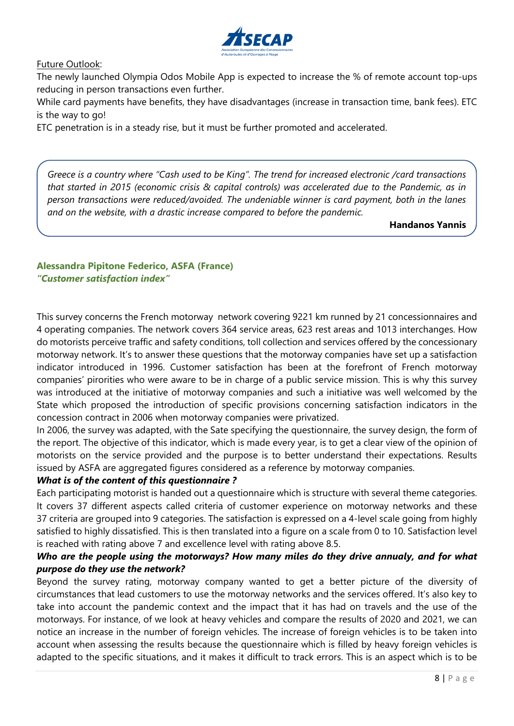

Future Outlook:

The newly launched Olympia Odos Mobile App is expected to increase the % of remote account top-ups reducing in person transactions even further.

While card payments have benefits, they have disadvantages (increase in transaction time, bank fees). ETC is the way to go!

ETC penetration is in a steady rise, but it must be further promoted and accelerated.

*Greece is a country where "Cash used to be King". The trend for increased electronic /card transactions that started in 2015 (economic crisis & capital controls) was accelerated due to the Pandemic, as in person transactions were reduced/avoided. The undeniable winner is card payment, both in the lanes and on the website, with a drastic increase compared to before the pandemic.*

**Handanos Yannis**

### **Alessandra Pipitone Federico, ASFA (France)** *"Customer satisfaction index"*

This survey concerns the French motorway network covering 9221 km runned by 21 concessionnaires and 4 operating companies. The network covers 364 service areas, 623 rest areas and 1013 interchanges. How do motorists perceive traffic and safety conditions, toll collection and services offered by the concessionary motorway network. It's to answer these questions that the motorway companies have set up a satisfaction indicator introduced in 1996. Customer satisfaction has been at the forefront of French motorway companies' pirorities who were aware to be in charge of a public service mission. This is why this survey was introduced at the initiative of motorway companies and such a initiative was well welcomed by the State which proposed the introduction of specific provisions concerning satisfaction indicators in the concession contract in 2006 when motorway companies were privatized.

In 2006, the survey was adapted, with the Sate specifying the questionnaire, the survey design, the form of the report. The objective of this indicator, which is made every year, is to get a clear view of the opinion of motorists on the service provided and the purpose is to better understand their expectations. Results issued by ASFA are aggregated figures considered as a reference by motorway companies.

## *What is of the content of this questionnaire ?*

Each participating motorist is handed out a questionnaire which is structure with several theme categories. It covers 37 different aspects called criteria of customer experience on motorway networks and these 37 criteria are grouped into 9 categories. The satisfaction is expressed on a 4-level scale going from highly satisfied to highly dissatisfied. This is then translated into a figure on a scale from 0 to 10. Satisfaction level is reached with rating above 7 and excellence level with rating above 8.5.

## *Who are the people using the motorways? How many miles do they drive annualy, and for what purpose do they use the network?*

Beyond the survey rating, motorway company wanted to get a better picture of the diversity of circumstances that lead customers to use the motorway networks and the services offered. It's also key to take into account the pandemic context and the impact that it has had on travels and the use of the motorways. For instance, of we look at heavy vehicles and compare the results of 2020 and 2021, we can notice an increase in the number of foreign vehicles. The increase of foreign vehicles is to be taken into account when assessing the results because the questionnaire which is filled by heavy foreign vehicles is adapted to the specific situations, and it makes it difficult to track errors. This is an aspect which is to be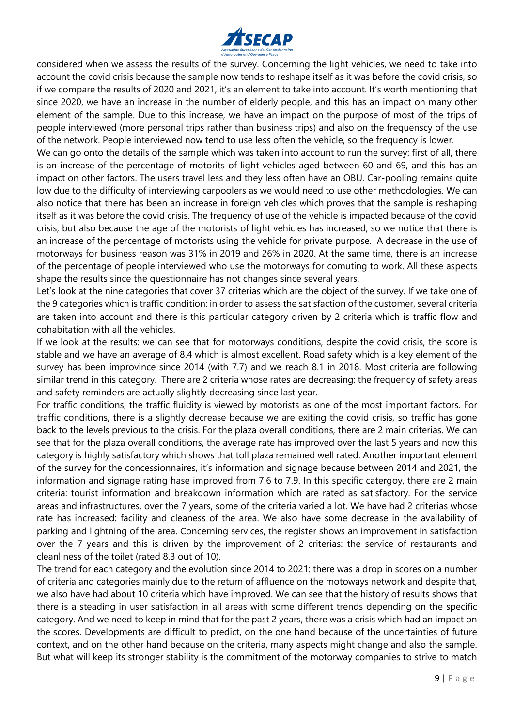

considered when we assess the results of the survey. Concerning the light vehicles, we need to take into account the covid crisis because the sample now tends to reshape itself as it was before the covid crisis, so if we compare the results of 2020 and 2021, it's an element to take into account. It's worth mentioning that since 2020, we have an increase in the number of elderly people, and this has an impact on many other element of the sample. Due to this increase, we have an impact on the purpose of most of the trips of people interviewed (more personal trips rather than business trips) and also on the frequenscy of the use of the network. People interviewed now tend to use less often the vehicle, so the frequency is lower.

We can go onto the details of the sample which was taken into account to run the survey: first of all, there is an increase of the percentage of motorits of light vehicles aged between 60 and 69, and this has an impact on other factors. The users travel less and they less often have an OBU. Car-pooling remains quite low due to the difficulty of interviewing carpoolers as we would need to use other methodologies. We can also notice that there has been an increase in foreign vehicles which proves that the sample is reshaping itself as it was before the covid crisis. The frequency of use of the vehicle is impacted because of the covid crisis, but also because the age of the motorists of light vehicles has increased, so we notice that there is an increase of the percentage of motorists using the vehicle for private purpose. A decrease in the use of motorways for business reason was 31% in 2019 and 26% in 2020. At the same time, there is an increase of the percentage of people interviewed who use the motorways for comuting to work. All these aspects shape the results since the questionnaire has not changes since several years.

Let's look at the nine categories that cover 37 criterias which are the object of the survey. If we take one of the 9 categories which is traffic condition: in order to assess the satisfaction of the customer, several criteria are taken into account and there is this particular category driven by 2 criteria which is traffic flow and cohabitation with all the vehicles.

If we look at the results: we can see that for motorways conditions, despite the covid crisis, the score is stable and we have an average of 8.4 which is almost excellent. Road safety which is a key element of the survey has been improvince since 2014 (with 7.7) and we reach 8.1 in 2018. Most criteria are following similar trend in this category. There are 2 criteria whose rates are decreasing: the frequency of safety areas and safety reminders are actually slightly decreasing since last year.

For traffic conditions, the traffic fluidity is viewed by motorists as one of the most important factors. For traffic conditions, there is a slightly decrease because we are exiting the covid crisis, so traffic has gone back to the levels previous to the crisis. For the plaza overall conditions, there are 2 main criterias. We can see that for the plaza overall conditions, the average rate has improved over the last 5 years and now this category is highly satisfactory which shows that toll plaza remained well rated. Another important element of the survey for the concessionnaires, it's information and signage because between 2014 and 2021, the information and signage rating hase improved from 7.6 to 7.9. In this specific catergoy, there are 2 main criteria: tourist information and breakdown information which are rated as satisfactory. For the service areas and infrastructures, over the 7 years, some of the criteria varied a lot. We have had 2 criterias whose rate has increased: facility and cleaness of the area. We also have some decrease in the availability of parking and lightning of the area. Concerning services, the register shows an improvement in satisfaction over the 7 years and this is driven by the improvement of 2 criterias: the service of restaurants and cleanliness of the toilet (rated 8.3 out of 10).

The trend for each category and the evolution since 2014 to 2021: there was a drop in scores on a number of criteria and categories mainly due to the return of affluence on the motoways network and despite that, we also have had about 10 criteria which have improved. We can see that the history of results shows that there is a steading in user satisfaction in all areas with some different trends depending on the specific category. And we need to keep in mind that for the past 2 years, there was a crisis which had an impact on the scores. Developments are difficult to predict, on the one hand because of the uncertainties of future context, and on the other hand because on the criteria, many aspects might change and also the sample. But what will keep its stronger stability is the commitment of the motorway companies to strive to match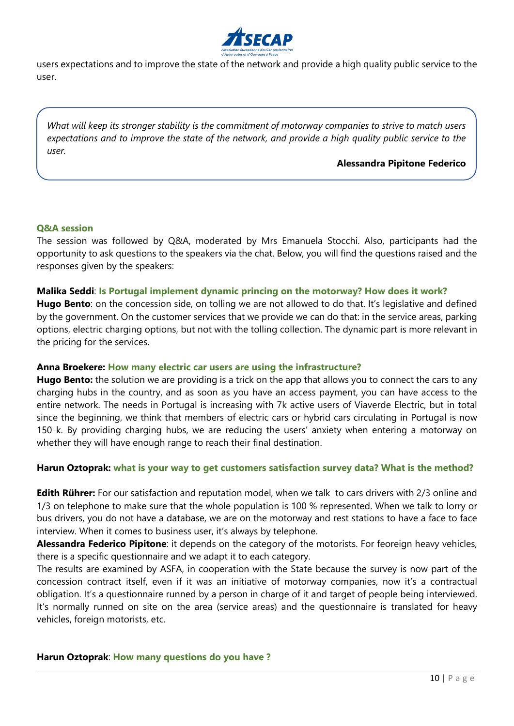

users expectations and to improve the state of the network and provide a high quality public service to the user.

*What will keep its stronger stability is the commitment of motorway companies to strive to match users expectations and to improve the state of the network, and provide a high quality public service to the user.*

#### **Alessandra Pipitone Federico**

#### **Q&A session**

The session was followed by Q&A, moderated by Mrs Emanuela Stocchi. Also, participants had the opportunity to ask questions to the speakers via the chat. Below, you will find the questions raised and the responses given by the speakers:

#### **Malika Seddi**: **Is Portugal implement dynamic princing on the motorway? How does it work?**

**Hugo Bento**: on the concession side, on tolling we are not allowed to do that. It's legislative and defined by the government. On the customer services that we provide we can do that: in the service areas, parking options, electric charging options, but not with the tolling collection. The dynamic part is more relevant in the pricing for the services.

#### **Anna Broekere: How many electric car users are using the infrastructure?**

**Hugo Bento:** the solution we are providing is a trick on the app that allows you to connect the cars to any charging hubs in the country, and as soon as you have an access payment, you can have access to the entire network. The needs in Portugal is increasing with 7k active users of Viaverde Electric, but in total since the beginning, we think that members of electric cars or hybrid cars circulating in Portugal is now 150 k. By providing charging hubs, we are reducing the users' anxiety when entering a motorway on whether they will have enough range to reach their final destination.

#### **Harun Oztoprak: what is your way to get customers satisfaction survey data? What is the method?**

**Edith Rührer:** For our satisfaction and reputation model, when we talk to cars drivers with 2/3 online and 1/3 on telephone to make sure that the whole population is 100 % represented. When we talk to lorry or bus drivers, you do not have a database, we are on the motorway and rest stations to have a face to face interview. When it comes to business user, it's always by telephone.

**Alessandra Federico Pipitone**: it depends on the category of the motorists. For feoreign heavy vehicles, there is a specific questionnaire and we adapt it to each category.

The results are examined by ASFA, in cooperation with the State because the survey is now part of the concession contract itself, even if it was an initiative of motorway companies, now it's a contractual obligation. It's a questionnaire runned by a person in charge of it and target of people being interviewed. It's normally runned on site on the area (service areas) and the questionnaire is translated for heavy vehicles, foreign motorists, etc.

#### **Harun Oztoprak**: **How many questions do you have ?**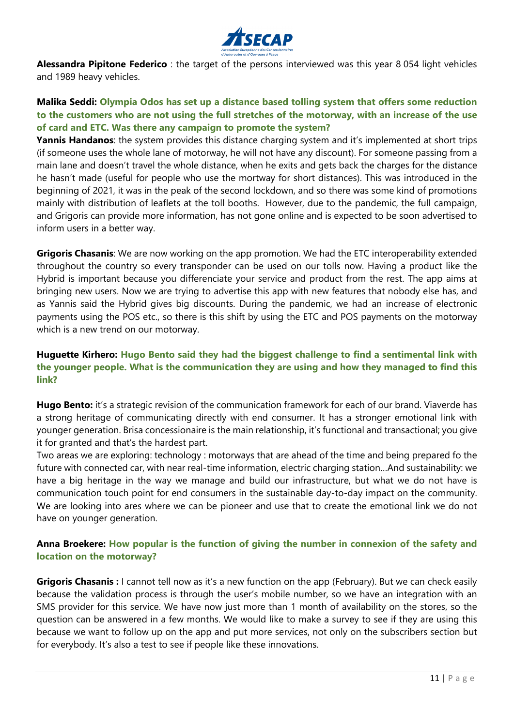

**Alessandra Pipitone Federico** : the target of the persons interviewed was this year 8 054 light vehicles and 1989 heavy vehicles.

## **Malika Seddi: Olympia Odos has set up a distance based tolling system that offers some reduction to the customers who are not using the full stretches of the motorway, with an increase of the use of card and ETC. Was there any campaign to promote the system?**

**Yannis Handanos**: the system provides this distance charging system and it's implemented at short trips (if someone uses the whole lane of motorway, he will not have any discount). For someone passing from a main lane and doesn't travel the whole distance, when he exits and gets back the charges for the distance he hasn't made (useful for people who use the mortway for short distances). This was introduced in the beginning of 2021, it was in the peak of the second lockdown, and so there was some kind of promotions mainly with distribution of leaflets at the toll booths. However, due to the pandemic, the full campaign, and Grigoris can provide more information, has not gone online and is expected to be soon advertised to inform users in a better way.

**Grigoris Chasanis**: We are now working on the app promotion. We had the ETC interoperability extended throughout the country so every transponder can be used on our tolls now. Having a product like the Hybrid is important because you differenciate your service and product from the rest. The app aims at bringing new users. Now we are trying to advertise this app with new features that nobody else has, and as Yannis said the Hybrid gives big discounts. During the pandemic, we had an increase of electronic payments using the POS etc., so there is this shift by using the ETC and POS payments on the motorway which is a new trend on our motorway.

## **Huguette Kirhero: Hugo Bento said they had the biggest challenge to find a sentimental link with the younger people. What is the communication they are using and how they managed to find this link?**

**Hugo Bento:** it's a strategic revision of the communication framework for each of our brand. Viaverde has a strong heritage of communicating directly with end consumer. It has a stronger emotional link with younger generation. Brisa concessionaire is the main relationship, it's functional and transactional; you give it for granted and that's the hardest part.

Two areas we are exploring: technology : motorways that are ahead of the time and being prepared fo the future with connected car, with near real-time information, electric charging station…And sustainability: we have a big heritage in the way we manage and build our infrastructure, but what we do not have is communication touch point for end consumers in the sustainable day-to-day impact on the community. We are looking into ares where we can be pioneer and use that to create the emotional link we do not have on younger generation.

## **Anna Broekere: How popular is the function of giving the number in connexion of the safety and location on the motorway?**

**Grigoris Chasanis :** I cannot tell now as it's a new function on the app (February). But we can check easily because the validation process is through the user's mobile number, so we have an integration with an SMS provider for this service. We have now just more than 1 month of availability on the stores, so the question can be answered in a few months. We would like to make a survey to see if they are using this because we want to follow up on the app and put more services, not only on the subscribers section but for everybody. It's also a test to see if people like these innovations.